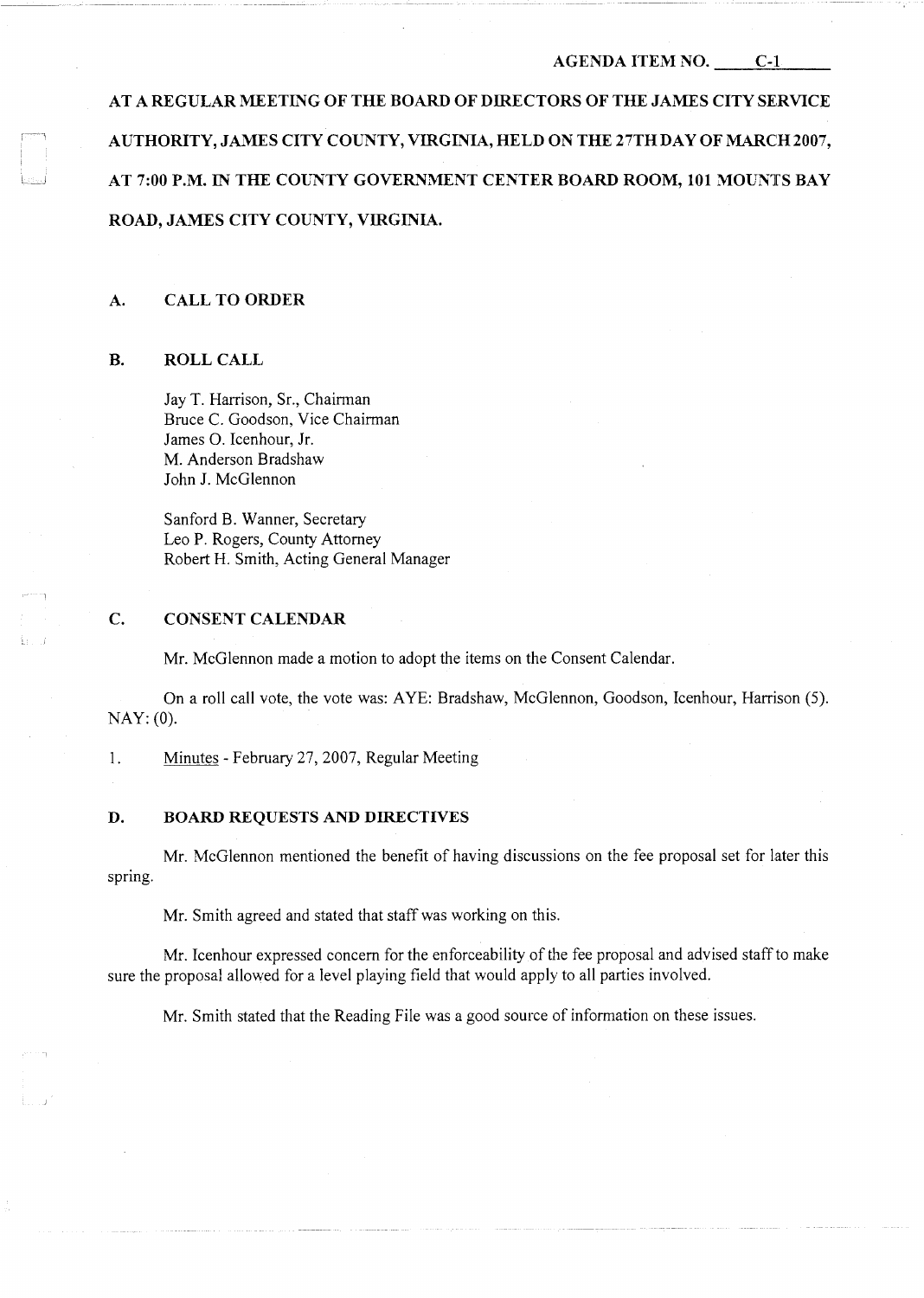### **AGENDA ITEM NO. C-1**

**AT A REGULAR MEETING OF THE BOARD OF DIRECTORS OF THE JAMES CITY SERVICE**  AUTHORITY, JAMES CITY COUNTY, VIRGINIA, HELD ON THE 27TH DAY OF MARCH 2007, **AT 7:00 P.M. IN THE COUNTY GOVERNMENT CENTER BOARD ROOM, 101 MOUNTS BAY ROAD, JAMES CITY COUNTY, VIRGINIA.** 

### **A. CALL TO ORDER**

## **B. ROLL CALL**

Jay T. Harrison, Sr., Chairman Bruce C. Goodson, Vice Chairman James 0. Icenhour, Jr. M. Anderson Bradshaw John J. McGlennon

Sanford B. Wanner, Secretary Leo P. Rogers, County Attorney Robert H. Smith, Acting General Manager

## **C. CONSENT CALENDAR**

Mr. McGlennon made a motion to adopt the items on the Consent Calendar.

On a roll call vote, the vote was: AYE: Bradshaw, McGlennon, Goodson, Icenhour, Harrison (5). NAY: (0).

1. Minutes - February 27, 2007, Regular Meeting

## **D. BOARD REQUESTS AND DIRECTIVES**

Mr. McGlennon mentioned the benefit of having discussions on the fee proposal set for later this spring.

Mr. Smith agreed and stated that staff was working on this.

Mr. Icenhour expressed concern for the enforceability of the fee proposal and advised staff to make sure the proposal allowed for a level playing field that would apply to all parties involved.

Mr. Smith stated that the Reading File was a good source of information on these issues.